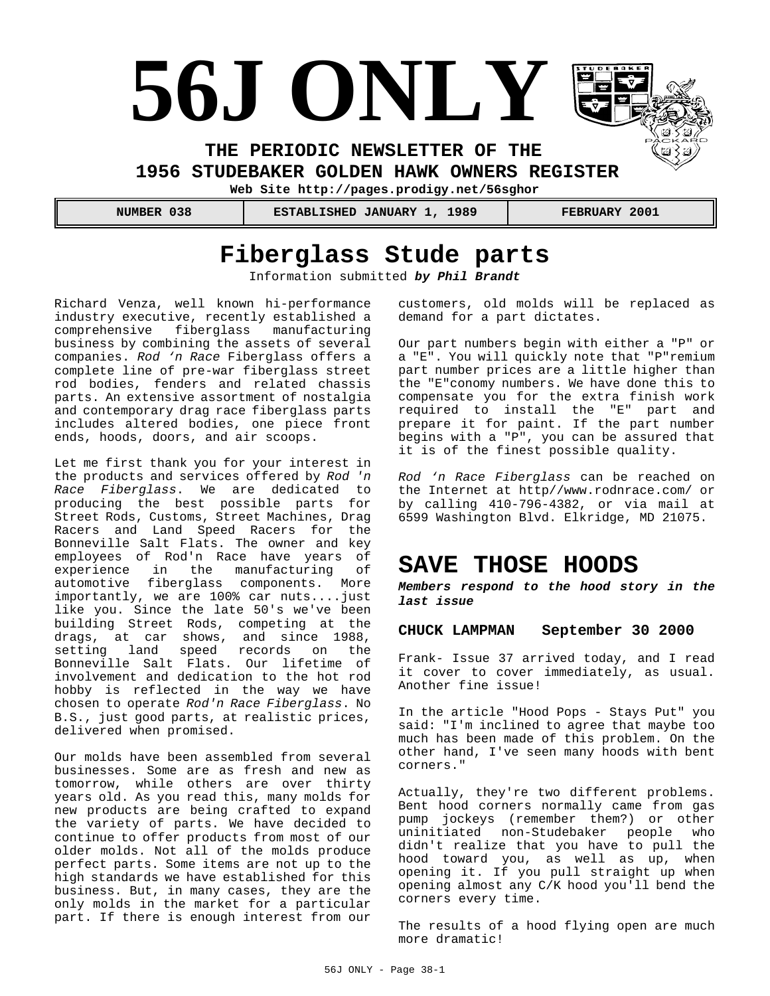# **56J ONLY**

**THE PERIODIC NEWSLETTER OF THE** 

**1956 STUDEBAKER GOLDEN HAWK OWNERS REGISTER** 

**Web Site http://pages.prodigy.net/56sghor**

 **NUMBER 038 ESTABLISHED JANUARY 1, 1989 FEBRUARY 2001**

## **Fiberglass Stude parts**

Information submitted *by Phil Brandt*

Richard Venza, well known hi-performance industry executive, recently established a comprehensive fiberglass manufacturing business by combining the assets of several companies. *Rod 'n Race* Fiberglass offers a complete line of pre-war fiberglass street rod bodies, fenders and related chassis parts. An extensive assortment of nostalgia and contemporary drag race fiberglass parts includes altered bodies, one piece front ends, hoods, doors, and air scoops.

Let me first thank you for your interest in the products and services offered by *Rod 'n Race Fiberglass*. We are dedicated to producing the best possible parts for Street Rods, Customs, Street Machines, Drag Racers and Land Speed Racers for the Bonneville Salt Flats. The owner and key employees of Rod'n Race have years of experience in the manufacturing of automotive fiberglass components. More importantly, we are 100% car nuts....just like you. Since the late 50's we've been building Street Rods, competing at the drags, at car shows, and since 1988, setting land speed records on the Bonneville Salt Flats. Our lifetime of involvement and dedication to the hot rod hobby is reflected in the way we have chosen to operate *Rod'n Race Fiberglass*. No B.S., just good parts, at realistic prices, delivered when promised.

Our molds have been assembled from several businesses. Some are as fresh and new as tomorrow, while others are over thirty years old. As you read this, many molds for new products are being crafted to expand the variety of parts. We have decided to continue to offer products from most of our older molds. Not all of the molds produce perfect parts. Some items are not up to the high standards we have established for this business. But, in many cases, they are the only molds in the market for a particular part. If there is enough interest from our

customers, old molds will be replaced as demand for a part dictates.

Our part numbers begin with either a "P" or a "E". You will quickly note that "P"remium part number prices are a little higher than the "E"conomy numbers. We have done this to compensate you for the extra finish work required to install the "E" part and prepare it for paint. If the part number begins with a "P", you can be assured that it is of the finest possible quality.

*Rod 'n Race Fiberglass* can be reached on the Internet at http//www.rodnrace.com/ or by calling 410-796-4382, or via mail at 6599 Washington Blvd. Elkridge, MD 21075.

## **SAVE THOSE HOODS**

*Members respond to the hood story in the last issue*

#### **CHUCK LAMPMAN September 30 2000**

Frank- Issue 37 arrived today, and I read it cover to cover immediately, as usual. Another fine issue!

In the article "Hood Pops - Stays Put" you said: "I'm inclined to agree that maybe too much has been made of this problem. On the other hand, I've seen many hoods with bent corners."

Actually, they're two different problems. Bent hood corners normally came from gas pump jockeys (remember them?) or other uninitiated non-Studebaker people who didn't realize that you have to pull the hood toward you, as well as up, when opening it. If you pull straight up when opening almost any C/K hood you'll bend the corners every time.

The results of a hood flying open are much more dramatic!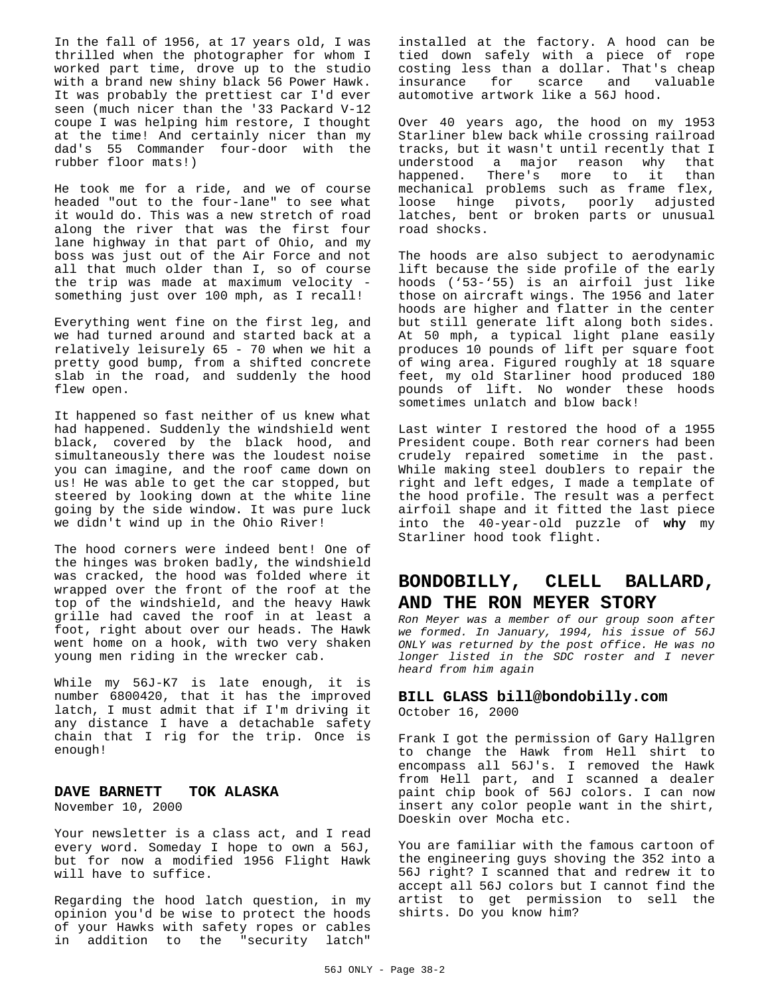In the fall of 1956, at 17 years old, I was thrilled when the photographer for whom I worked part time, drove up to the studio with a brand new shiny black 56 Power Hawk. It was probably the prettiest car I'd ever seen (much nicer than the '33 Packard V-12 coupe I was helping him restore, I thought at the time! And certainly nicer than my dad's 55 Commander four-door with the rubber floor mats!)

He took me for a ride, and we of course headed "out to the four-lane" to see what it would do. This was a new stretch of road along the river that was the first four lane highway in that part of Ohio, and my boss was just out of the Air Force and not all that much older than I, so of course the trip was made at maximum velocity something just over 100 mph, as I recall!

Everything went fine on the first leg, and we had turned around and started back at a relatively leisurely 65 - 70 when we hit a pretty good bump, from a shifted concrete slab in the road, and suddenly the hood flew open.

It happened so fast neither of us knew what had happened. Suddenly the windshield went black, covered by the black hood, and simultaneously there was the loudest noise you can imagine, and the roof came down on us! He was able to get the car stopped, but steered by looking down at the white line going by the side window. It was pure luck we didn't wind up in the Ohio River!

The hood corners were indeed bent! One of the hinges was broken badly, the windshield was cracked, the hood was folded where it wrapped over the front of the roof at the top of the windshield, and the heavy Hawk grille had caved the roof in at least a foot, right about over our heads. The Hawk went home on a hook, with two very shaken young men riding in the wrecker cab.

While my 56J-K7 is late enough, it is number 6800420, that it has the improved latch, I must admit that if I'm driving it any distance I have a detachable safety chain that I rig for the trip. Once is enough!

#### **DAVE BARNETT TOK ALASKA**

November 10, 2000

Your newsletter is a class act, and I read every word. Someday I hope to own a 56J, but for now a modified 1956 Flight Hawk will have to suffice.

Regarding the hood latch question, in my opinion you'd be wise to protect the hoods of your Hawks with safety ropes or cables in addition to the "security latch"

installed at the factory. A hood can be tied down safely with a piece of rope costing less than a dollar. That's cheap insurance for scarce and valuable automotive artwork like a 56J hood.

Over 40 years ago, the hood on my 1953 Starliner blew back while crossing railroad tracks, but it wasn't until recently that I understood a major reason why that happened. There's more to it than mechanical problems such as frame flex, loose hinge pivots, poorly adjusted latches, bent or broken parts or unusual road shocks.

The hoods are also subject to aerodynamic lift because the side profile of the early hoods ('53-'55) is an airfoil just like those on aircraft wings. The 1956 and later hoods are higher and flatter in the center but still generate lift along both sides. At 50 mph, a typical light plane easily produces 10 pounds of lift per square foot of wing area. Figured roughly at 18 square feet, my old Starliner hood produced 180 pounds of lift. No wonder these hoods sometimes unlatch and blow back!

Last winter I restored the hood of a 1955 President coupe. Both rear corners had been crudely repaired sometime in the past. While making steel doublers to repair the right and left edges, I made a template of the hood profile. The result was a perfect airfoil shape and it fitted the last piece into the 40-year-old puzzle of **why** my Starliner hood took flight.

#### **BONDOBILLY, CLELL BALLARD, AND THE RON MEYER STORY**

*Ron Meyer was a member of our group soon after we formed. In January, 1994, his issue of 56J ONLY was returned by the post office. He was no longer listed in the SDC roster and I never heard from him again*

#### **BILL GLASS bill@bondobilly.com** October 16, 2000

Frank I got the permission of Gary Hallgren to change the Hawk from Hell shirt to encompass all 56J's. I removed the Hawk from Hell part, and I scanned a dealer paint chip book of 56J colors. I can now insert any color people want in the shirt, Doeskin over Mocha etc.

You are familiar with the famous cartoon of the engineering guys shoving the 352 into a 56J right? I scanned that and redrew it to accept all 56J colors but I cannot find the artist to get permission to sell the shirts. Do you know him?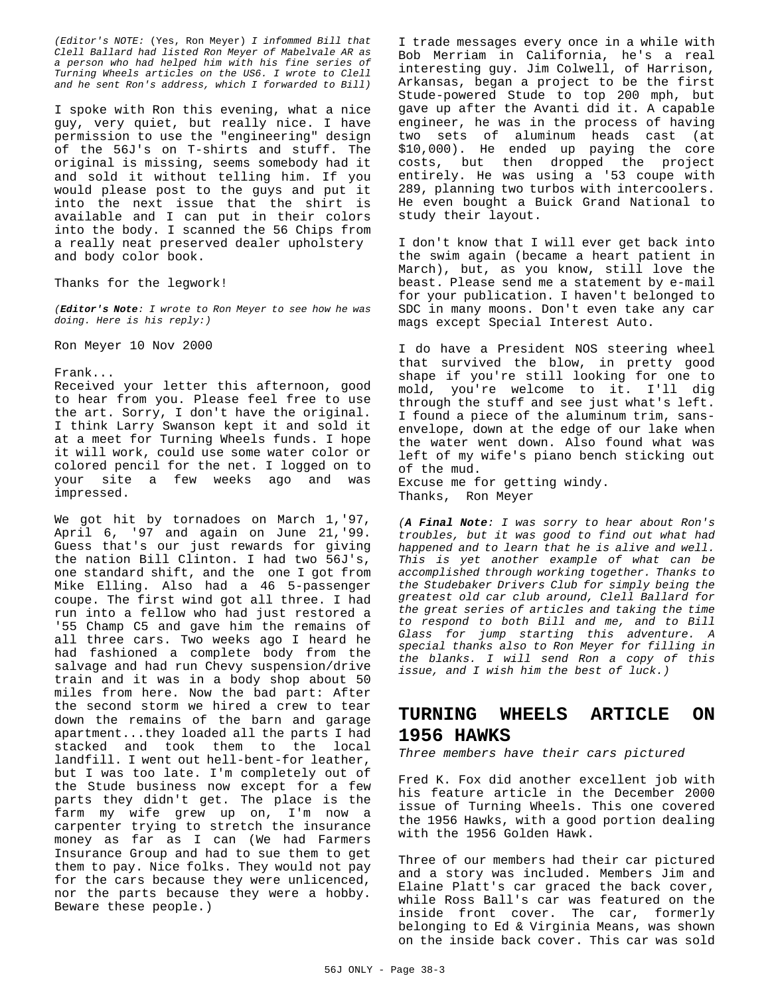*(Editor's NOTE:* (Yes, Ron Meyer) *I infommed Bill that Clell Ballard had listed Ron Meyer of Mabelvale AR as a person who had helped him with his fine series of Turning Wheels articles on the US6. I wrote to Clell and he sent Ron's address, which I forwarded to Bill)*

I spoke with Ron this evening, what a nice guy, very quiet, but really nice. I have permission to use the "engineering" design of the 56J's on T-shirts and stuff. The original is missing, seems somebody had it and sold it without telling him. If you would please post to the guys and put it into the next issue that the shirt is available and I can put in their colors into the body. I scanned the 56 Chips from a really neat preserved dealer upholstery and body color book.

Thanks for the legwork!

*(Editor's Note: I wrote to Ron Meyer to see how he was doing. Here is his reply:)*

Ron Meyer 10 Nov 2000

Frank...

Received your letter this afternoon, good to hear from you. Please feel free to use the art. Sorry, I don't have the original. I think Larry Swanson kept it and sold it at a meet for Turning Wheels funds. I hope it will work, could use some water color or colored pencil for the net. I logged on to your site a few weeks ago and was impressed.

We got hit by tornadoes on March 1,'97, April 6, '97 and again on June 21,'99. Guess that's our just rewards for giving the nation Bill Clinton. I had two 56J's, one standard shift, and the one I got from Mike Elling. Also had a 46 5-passenger coupe. The first wind got all three. I had run into a fellow who had just restored a '55 Champ C5 and gave him the remains of all three cars. Two weeks ago I heard he had fashioned a complete body from the salvage and had run Chevy suspension/drive train and it was in a body shop about 50 miles from here. Now the bad part: After the second storm we hired a crew to tear down the remains of the barn and garage apartment...they loaded all the parts I had stacked and took them to the local landfill. I went out hell-bent-for leather, but I was too late. I'm completely out of the Stude business now except for a few parts they didn't get. The place is the farm my wife grew up on, I'm now a carpenter trying to stretch the insurance money as far as I can (We had Farmers Insurance Group and had to sue them to get them to pay. Nice folks. They would not pay for the cars because they were unlicenced, nor the parts because they were a hobby. Beware these people.)

I trade messages every once in a while with Bob Merriam in California, he's a real interesting guy. Jim Colwell, of Harrison, Arkansas, began a project to be the first Stude-powered Stude to top 200 mph, but gave up after the Avanti did it. A capable engineer, he was in the process of having two sets of aluminum heads cast (at \$10,000). He ended up paying the core costs, but then dropped the project entirely. He was using a '53 coupe with 289, planning two turbos with intercoolers. He even bought a Buick Grand National to study their layout.

I don't know that I will ever get back into the swim again (became a heart patient in March), but, as you know, still love the beast. Please send me a statement by e-mail for your publication. I haven't belonged to SDC in many moons. Don't even take any car mags except Special Interest Auto.

I do have a President NOS steering wheel that survived the blow, in pretty good shape if you're still looking for one to mold, you're welcome to it. I'll dig through the stuff and see just what's left. I found a piece of the aluminum trim, sansenvelope, down at the edge of our lake when the water went down. Also found what was left of my wife's piano bench sticking out of the mud.

Excuse me for getting windy. Thanks, Ron Meyer

*(A Final Note: I was sorry to hear about Ron's troubles, but it was good to find out what had happened and to learn that he is alive and well. This is yet another example of what can be accomplished through working together. Thanks to the Studebaker Drivers Club for simply being the greatest old car club around, Clell Ballard for the great series of articles and taking the time to respond to both Bill and me, and to Bill Glass for jump starting this adventure. A special thanks also to Ron Meyer for filling in the blanks. I will send Ron a copy of this issue, and I wish him the best of luck.)*

### **TURNING WHEELS ARTICLE ON 1956 HAWKS**

*Three members have their cars pictured*

Fred K. Fox did another excellent job with his feature article in the December 2000 issue of Turning Wheels. This one covered the 1956 Hawks, with a good portion dealing with the 1956 Golden Hawk.

Three of our members had their car pictured and a story was included. Members Jim and Elaine Platt's car graced the back cover, while Ross Ball's car was featured on the inside front cover. The car, formerly belonging to Ed & Virginia Means, was shown on the inside back cover. This car was sold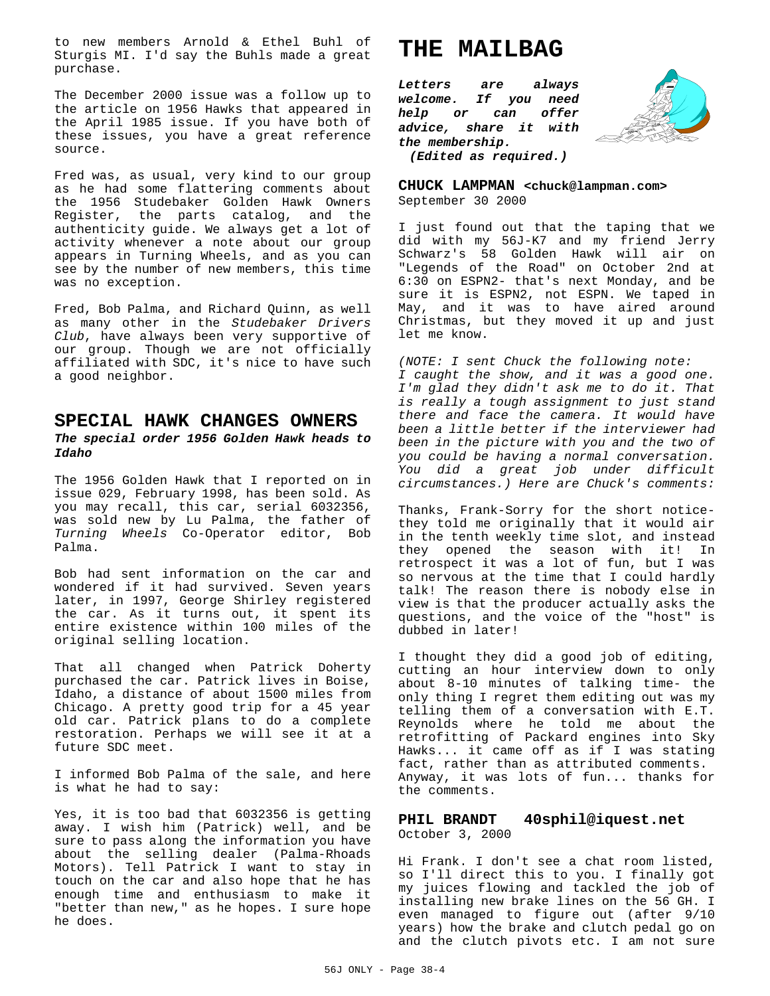to new members Arnold & Ethel Buhl of Sturgis MI. I'd say the Buhls made a great purchase.

The December 2000 issue was a follow up to the article on 1956 Hawks that appeared in the April 1985 issue. If you have both of these issues, you have a great reference source.

Fred was, as usual, very kind to our group as he had some flattering comments about the 1956 Studebaker Golden Hawk Owners Register, the parts catalog, and the authenticity guide. We always get a lot of activity whenever a note about our group appears in Turning Wheels, and as you can see by the number of new members, this time was no exception.

Fred, Bob Palma, and Richard Quinn, as well as many other in the *Studebaker Drivers Club*, have always been very supportive of our group. Though we are not officially affiliated with SDC, it's nice to have such a good neighbor.

#### **SPECIAL HAWK CHANGES OWNERS** *The special order 1956 Golden Hawk heads to Idaho*

The 1956 Golden Hawk that I reported on in issue 029, February 1998, has been sold. As you may recall, this car, serial 6032356, was sold new by Lu Palma, the father of *Turning Wheels* Co-Operator editor, Bob Palma.

Bob had sent information on the car and wondered if it had survived. Seven years later, in 1997, George Shirley registered the car. As it turns out, it spent its entire existence within 100 miles of the original selling location.

That all changed when Patrick Doherty purchased the car. Patrick lives in Boise, Idaho, a distance of about 1500 miles from Chicago. A pretty good trip for a 45 year old car. Patrick plans to do a complete restoration. Perhaps we will see it at a future SDC meet.

I informed Bob Palma of the sale, and here is what he had to say:

Yes, it is too bad that 6032356 is getting away. I wish him (Patrick) well, and be sure to pass along the information you have about the selling dealer (Palma-Rhoads Motors). Tell Patrick I want to stay in touch on the car and also hope that he has enough time and enthusiasm to make it "better than new," as he hopes. I sure hope he does.

## **THE MAILBAG**

*Letters are always welcome. If you need help or can offer advice, share it with the membership.*



*(Edited as required.)*

**CHUCK LAMPMAN <chuck@lampman.com>** September 30 2000

I just found out that the taping that we did with my 56J-K7 and my friend Jerry Schwarz's 58 Golden Hawk will air on "Legends of the Road" on October 2nd at 6:30 on ESPN2- that's next Monday, and be sure it is ESPN2, not ESPN. We taped in May, and it was to have aired around Christmas, but they moved it up and just let me know.

*(NOTE: I sent Chuck the following note: I caught the show, and it was a good one. I'm glad they didn't ask me to do it. That is really a tough assignment to just stand there and face the camera. It would have been a little better if the interviewer had been in the picture with you and the two of you could be having a normal conversation. You did a great job under difficult circumstances.) Here are Chuck's comments:*

Thanks, Frank-Sorry for the short noticethey told me originally that it would air in the tenth weekly time slot, and instead they opened the season with it! In retrospect it was a lot of fun, but I was so nervous at the time that I could hardly talk! The reason there is nobody else in view is that the producer actually asks the questions, and the voice of the "host" is dubbed in later!

I thought they did a good job of editing, cutting an hour interview down to only about 8-10 minutes of talking time- the only thing I regret them editing out was my telling them of a conversation with E.T. Reynolds where he told me about the retrofitting of Packard engines into Sky Hawks... it came off as if I was stating fact, rather than as attributed comments. Anyway, it was lots of fun... thanks for the comments.

#### **PHIL BRANDT 40sphil@iquest.net** October 3, 2000

Hi Frank. I don't see a chat room listed, so I'll direct this to you. I finally got my juices flowing and tackled the job of installing new brake lines on the 56 GH. I even managed to figure out (after 9/10 years) how the brake and clutch pedal go on and the clutch pivots etc. I am not sure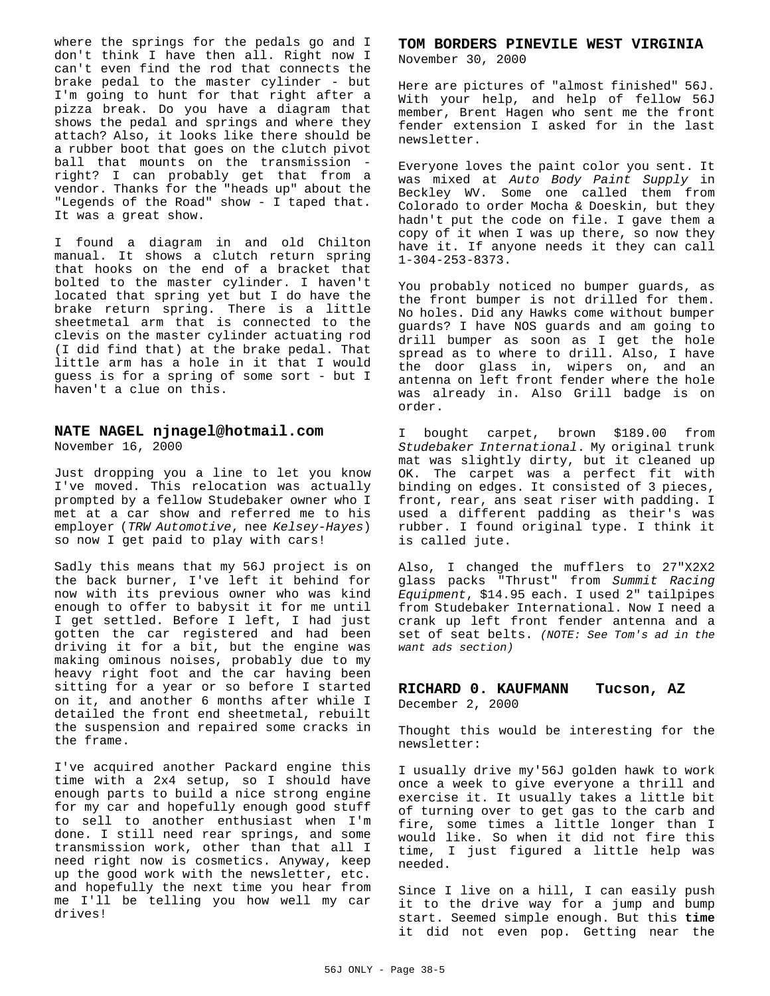where the springs for the pedals go and I don't think I have then all. Right now I can't even find the rod that connects the brake pedal to the master cylinder - but I'm going to hunt for that right after a pizza break. Do you have a diagram that shows the pedal and springs and where they attach? Also, it looks like there should be a rubber boot that goes on the clutch pivot ball that mounts on the transmission right? I can probably get that from a vendor. Thanks for the "heads up" about the "Legends of the Road" show - I taped that. It was a great show.

I found a diagram in and old Chilton manual. It shows a clutch return spring that hooks on the end of a bracket that bolted to the master cylinder. I haven't located that spring yet but I do have the brake return spring. There is a little sheetmetal arm that is connected to the clevis on the master cylinder actuating rod (I did find that) at the brake pedal. That little arm has a hole in it that I would guess is for a spring of some sort - but I haven't a clue on this.

#### **NATE NAGEL njnagel@hotmail.com**

November 16, 2000

Just dropping you a line to let you know I've moved. This relocation was actually prompted by a fellow Studebaker owner who I met at a car show and referred me to his employer (*TRW Automotive*, nee *Kelsey-Hayes*) so now I get paid to play with cars!

Sadly this means that my 56J project is on the back burner, I've left it behind for now with its previous owner who was kind enough to offer to babysit it for me until I get settled. Before I left, I had just gotten the car registered and had been driving it for a bit, but the engine was making ominous noises, probably due to my heavy right foot and the car having been sitting for a year or so before I started on it, and another 6 months after while I detailed the front end sheetmetal, rebuilt the suspension and repaired some cracks in the frame.

I've acquired another Packard engine this time with a 2x4 setup, so I should have enough parts to build a nice strong engine for my car and hopefully enough good stuff to sell to another enthusiast when I'm done. I still need rear springs, and some transmission work, other than that all I need right now is cosmetics. Anyway, keep up the good work with the newsletter, etc. and hopefully the next time you hear from me I'll be telling you how well my car drives!

#### **TOM BORDERS PINEVILE WEST VIRGINIA** November 30, 2000

Here are pictures of "almost finished" 56J. With your help, and help of fellow 56J member, Brent Hagen who sent me the front fender extension I asked for in the last newsletter.

Everyone loves the paint color you sent. It was mixed at *Auto Body Paint Supply* in Beckley WV. Some one called them from Colorado to order Mocha & Doeskin, but they hadn't put the code on file. I gave them a copy of it when I was up there, so now they have it. If anyone needs it they can call 1-304-253-8373.

You probably noticed no bumper guards, as the front bumper is not drilled for them. No holes. Did any Hawks come without bumper guards? I have NOS guards and am going to drill bumper as soon as I get the hole spread as to where to drill. Also, I have the door glass in, wipers on, and an antenna on left front fender where the hole was already in. Also Grill badge is on order.

I bought carpet, brown \$189.00 from *Studebaker International*. My original trunk mat was slightly dirty, but it cleaned up OK. The carpet was a perfect fit with binding on edges. It consisted of 3 pieces, front, rear, ans seat riser with padding. I used a different padding as their's was rubber. I found original type. I think it is called jute.

Also, I changed the mufflers to 27"X2X2 glass packs "Thrust" from *Summit Racing Equipment*, \$14.95 each. I used 2" tailpipes from Studebaker International. Now I need a crank up left front fender antenna and a set of seat belts. *(NOTE: See Tom's ad in the want ads section)*

## **RICHARD 0. KAUFMANN Tucson, AZ**

December 2, 2000

Thought this would be interesting for the newsletter:

I usually drive my'56J golden hawk to work once a week to give everyone a thrill and exercise it. It usually takes a little bit of turning over to get gas to the carb and fire, some times a little longer than I would like. So when it did not fire this time, I just figured a little help was needed.

Since I live on a hill, I can easily push it to the drive way for a jump and bump start. Seemed simple enough. But this **time** it did not even pop. Getting near the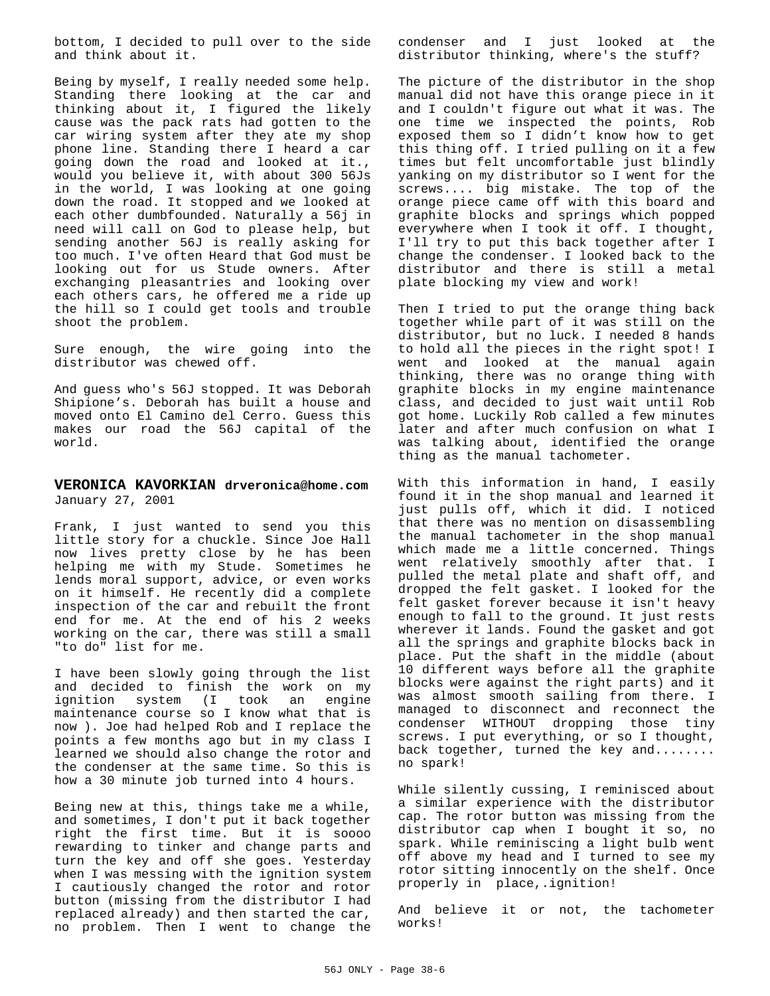bottom, I decided to pull over to the side and think about it.

Being by myself, I really needed some help. Standing there looking at the car and thinking about it, I figured the likely cause was the pack rats had gotten to the car wiring system after they ate my shop phone line. Standing there I heard a car going down the road and looked at it., would you believe it, with about 300 56Js in the world, I was looking at one going down the road. It stopped and we looked at each other dumbfounded. Naturally a 56j in need will call on God to please help, but sending another 56J is really asking for too much. I've often Heard that God must be looking out for us Stude owners. After exchanging pleasantries and looking over each others cars, he offered me a ride up the hill so I could get tools and trouble shoot the problem.

Sure enough, the wire going into the distributor was chewed off.

And guess who's 56J stopped. It was Deborah Shipione's. Deborah has built a house and moved onto El Camino del Cerro. Guess this makes our road the 56J capital of the world.

#### **VERONICA KAVORKIAN drveronica@home.com** January 27, 2001

Frank, I just wanted to send you this little story for a chuckle. Since Joe Hall now lives pretty close by he has been helping me with my Stude. Sometimes he lends moral support, advice, or even works on it himself. He recently did a complete inspection of the car and rebuilt the front end for me. At the end of his 2 weeks working on the car, there was still a small "to do" list for me.

I have been slowly going through the list and decided to finish the work on my ignition system (I took an engine maintenance course so I know what that is now ). Joe had helped Rob and I replace the points a few months ago but in my class I learned we should also change the rotor and the condenser at the same time. So this is how a 30 minute job turned into 4 hours.

Being new at this, things take me a while, and sometimes, I don't put it back together right the first time. But it is soooo rewarding to tinker and change parts and turn the key and off she goes. Yesterday when I was messing with the ignition system I cautiously changed the rotor and rotor button (missing from the distributor I had replaced already) and then started the car, no problem. Then I went to change the

condenser and I just looked at the distributor thinking, where's the stuff?

The picture of the distributor in the shop manual did not have this orange piece in it and I couldn't figure out what it was. The one time we inspected the points, Rob exposed them so I didn't know how to get this thing off. I tried pulling on it a few times but felt uncomfortable just blindly yanking on my distributor so I went for the screws.... big mistake. The top of the orange piece came off with this board and graphite blocks and springs which popped everywhere when I took it off. I thought, I'll try to put this back together after I change the condenser. I looked back to the distributor and there is still a metal plate blocking my view and work!

Then I tried to put the orange thing back together while part of it was still on the distributor, but no luck. I needed 8 hands to hold all the pieces in the right spot! I went and looked at the manual again thinking, there was no orange thing with graphite blocks in my engine maintenance class, and decided to just wait until Rob got home. Luckily Rob called a few minutes later and after much confusion on what I was talking about, identified the orange thing as the manual tachometer.

With this information in hand, I easily found it in the shop manual and learned it just pulls off, which it did. I noticed that there was no mention on disassembling the manual tachometer in the shop manual which made me a little concerned. Things went relatively smoothly after that. I pulled the metal plate and shaft off, and dropped the felt gasket. I looked for the felt gasket forever because it isn't heavy enough to fall to the ground. It just rests wherever it lands. Found the gasket and got all the springs and graphite blocks back in place. Put the shaft in the middle (about 10 different ways before all the graphite blocks were against the right parts) and it was almost smooth sailing from there. I managed to disconnect and reconnect the condenser WITHOUT dropping those tiny screws. I put everything, or so I thought, back together, turned the key and........ no spark!

While silently cussing, I reminisced about a similar experience with the distributor cap. The rotor button was missing from the distributor cap when I bought it so, no spark. While reminiscing a light bulb went off above my head and I turned to see my rotor sitting innocently on the shelf. Once properly in place,.ignition!

And believe it or not, the tachometer works!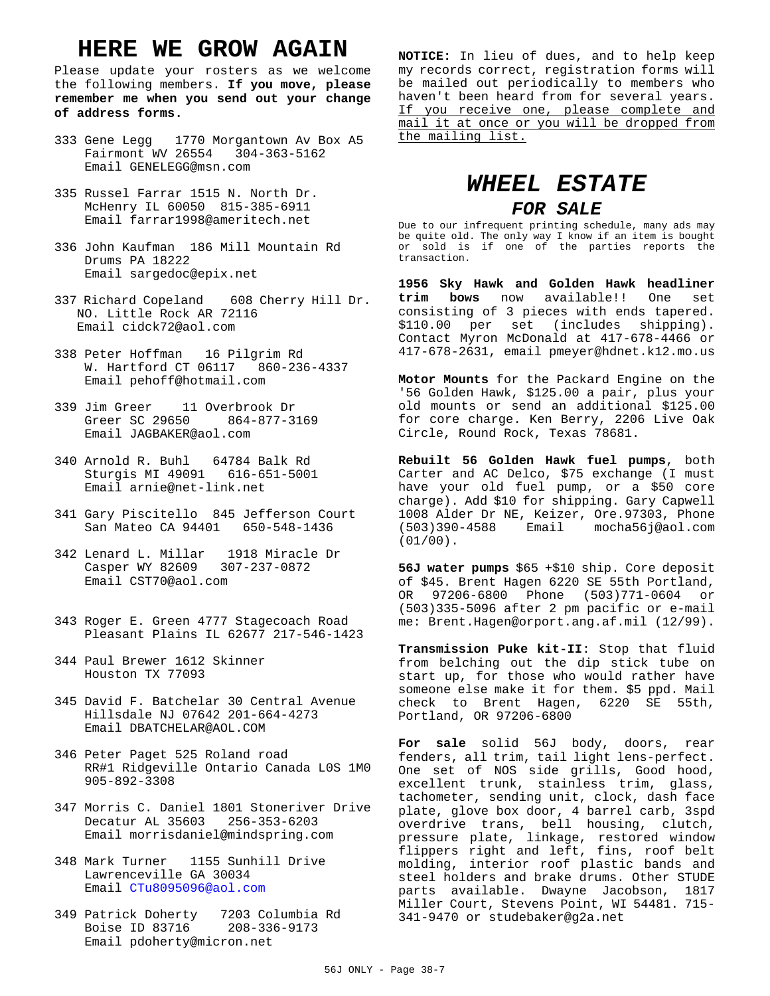## **HERE WE GROW AGAIN**

Please update your rosters as we welcome the following members. **If you move, please remember me when you send out your change of address forms.**

- 333 Gene Legg 1770 Morgantown Av Box A5 Fairmont WV 26554 304-363-5162 Email GENELEGG@msn.com
- 335 Russel Farrar 1515 N. North Dr. McHenry IL 60050 815-385-6911 Email farrar1998@ameritech.net
- 336 John Kaufman 186 Mill Mountain Rd Drums PA 18222 Email sargedoc@epix.net
- 337 Richard Copeland 608 Cherry Hill Dr. NO. Little Rock AR 72116 Email cidck72@aol.com
- 338 Peter Hoffman 16 Pilgrim Rd W. Hartford CT 06117 860-236-4337 Email pehoff@hotmail.com
- 339 Jim Greer 11 Overbrook Dr Greer SC 29650 Email JAGBAKER@aol.com
- 340 Arnold R. Buhl 64784 Balk Rd Sturgis MI 49091 616-651-5001 Email arnie@net-link.net
- 341 Gary Piscitello 845 Jefferson Court San Mateo CA 94401 650-548-1436
- 342 Lenard L. Millar 1918 Miracle Dr Casper WY 82609 Email CST70@aol.com
- 343 Roger E. Green 4777 Stagecoach Road Pleasant Plains IL 62677 217-546-1423
- 344 Paul Brewer 1612 Skinner Houston TX 77093
- 345 David F. Batchelar 30 Central Avenue Hillsdale NJ 07642 201-664-4273 Email DBATCHELAR@AOL.COM
- 346 Peter Paget 525 Roland road RR#1 Ridgeville Ontario Canada L0S 1M0 905-892-3308
- 347 Morris C. Daniel 1801 Stoneriver Drive Decatur AL 35603 256-353-6203 Email morrisdaniel@mindspring.com
- 348 Mark Turner 1155 Sunhill Drive Lawrenceville GA 30034 Email CTu8095096@aol.com
- 349 Patrick Doherty 7203 Columbia Rd Boise ID 83716 Email pdoherty@micron.net

**NOTICE:** In lieu of dues, and to help keep my records correct, registration forms will be mailed out periodically to members who haven't been heard from for several years. If you receive one, please complete and mail it at once or you will be dropped from the mailing list.

## *WHEEL ESTATE*

#### *FOR SALE*

Due to our infrequent printing schedule, many ads may be quite old. The only way I know if an item is bought or sold is if one of the parties reports the transaction.

**1956 Sky Hawk and Golden Hawk headliner trim bows** now available!! One set consisting of 3 pieces with ends tapered. \$110.00 per set (includes shipping). Contact Myron McDonald at 417-678-4466 or 417-678-2631, email pmeyer@hdnet.k12.mo.us

**Motor Mounts** for the Packard Engine on the '56 Golden Hawk, \$125.00 a pair, plus your old mounts or send an additional \$125.00 for core charge. Ken Berry, 2206 Live Oak Circle, Round Rock, Texas 78681.

**Rebuilt 56 Golden Hawk fuel pumps**, both Carter and AC Delco, \$75 exchange (I must have your old fuel pump, or a \$50 core charge). Add \$10 for shipping. Gary Capwell 1008 Alder Dr NE, Keizer, Ore.97303, Phone (503)390-4588 Email mocha56j@aol.com (01/00).

**56J water pumps** \$65 +\$10 ship. Core deposit of \$45. Brent Hagen 6220 SE 55th Portland, OR 97206-6800 Phone (503)771-0604 or (503)335-5096 after 2 pm pacific or e-mail me: Brent.Hagen@orport.ang.af.mil (12/99).

**Transmission Puke kit-II**: Stop that fluid from belching out the dip stick tube on start up, for those who would rather have someone else make it for them. \$5 ppd. Mail check to Brent Hagen, 6220 SE 55th, Portland, OR 97206-6800

**For sale** solid 56J body, doors, rear fenders, all trim, tail light lens-perfect. One set of NOS side grills, Good hood, excellent trunk, stainless trim, glass, tachometer, sending unit, clock, dash face plate, glove box door, 4 barrel carb, 3spd overdrive trans, bell housing, clutch, pressure plate, linkage, restored window flippers right and left, fins, roof belt molding, interior roof plastic bands and steel holders and brake drums. Other STUDE parts available. Dwayne Jacobson, 1817 Miller Court, Stevens Point, WI 54481. 715- 341-9470 or studebaker@g2a.net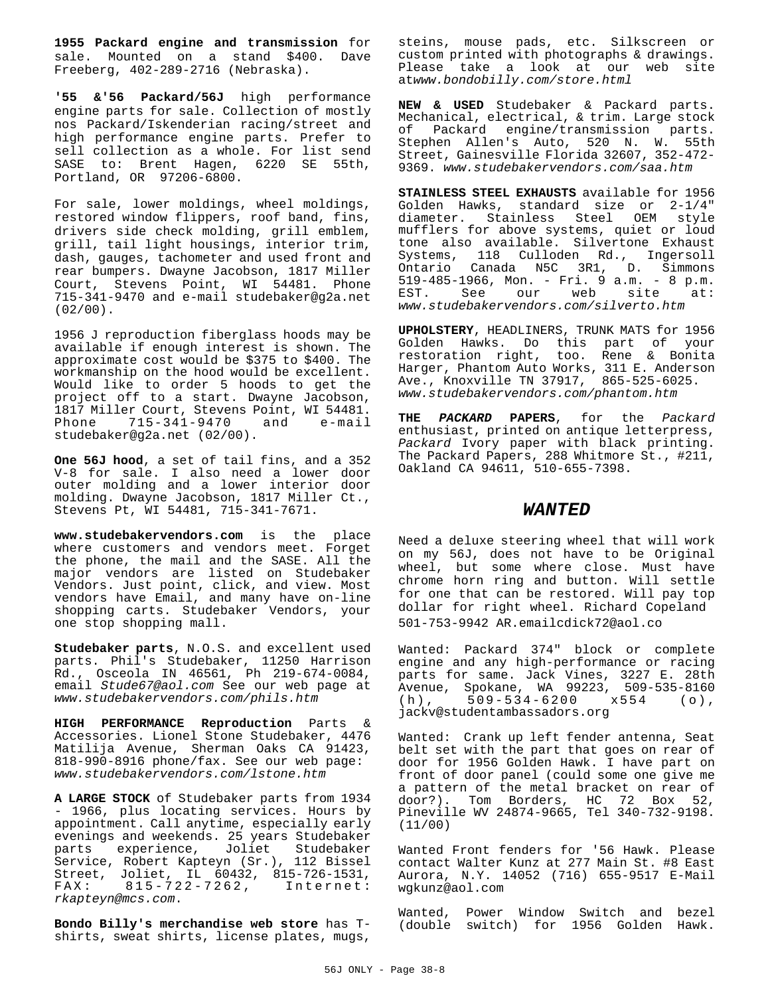**1955 Packard engine and transmission** for sale. Mounted on a stand \$400. Dave Freeberg, 402-289-2716 (Nebraska).

**'55 &'56 Packard/56J** high performance engine parts for sale. Collection of mostly nos Packard/Iskenderian racing/street and high performance engine parts. Prefer to sell collection as a whole. For list send SASE to: Brent Hagen, 6220 SE 55th, Portland, OR 97206-6800.

For sale, lower moldings, wheel moldings, restored window flippers, roof band, fins, drivers side check molding, grill emblem, grill, tail light housings, interior trim, dash, gauges, tachometer and used front and rear bumpers. Dwayne Jacobson, 1817 Miller Court, Stevens Point, WI 54481. Phone 715-341-9470 and e-mail studebaker@g2a.net (02/00).

1956 J reproduction fiberglass hoods may be available if enough interest is shown. The approximate cost would be \$375 to \$400. The workmanship on the hood would be excellent. Would like to order 5 hoods to get the project off to a start. Dwayne Jacobson, 1817 Miller Court, Stevens Point, WI 54481.<br>Phone 715-341-9470 and e-mail Phone 715-341-9470 and studebaker@g2a.net (02/00).

**One 56J hood**, a set of tail fins, and a 352 V-8 for sale. I also need a lower door outer molding and a lower interior door molding. Dwayne Jacobson, 1817 Miller Ct., Stevens Pt, WI 54481, 715-341-7671.

**www.studebakervendors.com** is the place where customers and vendors meet. Forget the phone, the mail and the SASE. All the major vendors are listed on Studebaker Vendors. Just point, click, and view. Most vendors have Email, and many have on-line shopping carts. Studebaker Vendors, your one stop shopping mall.

**Studebaker parts**, N.O.S. and excellent used parts. Phil's Studebaker, 11250 Harrison Rd., Osceola IN 46561, Ph 219-674-0084, email Stude67@aol.com See our web page at www.studebakervendors.com/phils.htm

**HIGH PERFORMANCE Reproduction** Parts & Accessories. Lionel Stone Studebaker, 4476 Matilija Avenue, Sherman Oaks CA 91423, 818-990-8916 phone/fax. See our web page: www.studebakervendors.com/lstone.htm

**A LARGE STOCK** of Studebaker parts from 1934 - 1966, plus locating services. Hours by appointment. Call anytime, especially early evenings and weekends. 25 years Studebaker parts experience, Joliet Studebaker Service, Robert Kapteyn (Sr.), 112 Bissel Street, Joliet, IL 60432, 815-726-1531, FAX: 815-722-7262, Internet: rkapteyn@mcs.com.

**Bondo Billy's merchandise web store** has Tshirts, sweat shirts, license plates, mugs,

steins, mouse pads, etc. Silkscreen or custom printed with photographs & drawings. Please take a look at our web site atwww.bondobilly.com/store.html

**NEW & USED** Studebaker & Packard parts. Mechanical, electrical, & trim. Large stock of Packard engine/transmission parts. Stephen Allen's Auto, 520 N. W. 55th Street, Gainesville Florida 32607, 352-472- 9369. www.studebakervendors.com/saa.htm

**STAINLESS STEEL EXHAUSTS** available for 1956 Golden Hawks, standard size or 2-1/4" diameter. Stainless Steel OEM style mufflers for above systems, quiet or loud tone also available. Silvertone Exhaust Systems, 118 Culloden Rd., Ingersoll Ontario Canada N5C 3R1, D. Simmons 519-485-1966, Mon. - Fri. 9 a.m. - 8 p.m. EST. See our web site at: www.studebakervendors.com/silverto.htm

**UPHOLSTERY**, HEADLINERS, TRUNK MATS for 1956 Golden Hawks. Do this part of your restoration right, too. Rene & Bonita Harger, Phantom Auto Works, 311 E. Anderson Ave., Knoxville TN 37917, 865-525-6025. www.studebakervendors.com/phantom.htm

**THE PACKARD PAPERS**, for the Packard enthusiast, printed on antique letterpress, Packard Ivory paper with black printing. The Packard Papers, 288 Whitmore St., #211, Oakland CA 94611, 510-655-7398.

#### *WANTED*

Need a deluxe steering wheel that will work on my 56J, does not have to be Original wheel, but some where close. Must have chrome horn ring and button. Will settle for one that can be restored. Will pay top dollar for right wheel. Richard Copeland 501-753-9942 AR.emailcdick72@aol.co

Wanted: Packard 374" block or complete engine and any high-performance or racing parts for same. Jack Vines, 3227 E. 28th Avenue, Spokane, WA 99223, 509-535-8160<br>(h), 509-534-6200 x554 (o), (h), 509-534-6200 x554 (o), jackv@studentambassadors.org

Wanted: Crank up left fender antenna, Seat belt set with the part that goes on rear of door for 1956 Golden Hawk. I have part on front of door panel (could some one give me a pattern of the metal bracket on rear of door?). Tom Borders, HC 72 Box 52, Pineville WV 24874-9665, Tel 340-732-9198. (11/00)

Wanted Front fenders for '56 Hawk. Please contact Walter Kunz at 277 Main St. #8 East Aurora, N.Y. 14052 (716) 655-9517 E-Mail wgkunz@aol.com

Wanted, Power Window Switch and bezel (double switch) for 1956 Golden Hawk.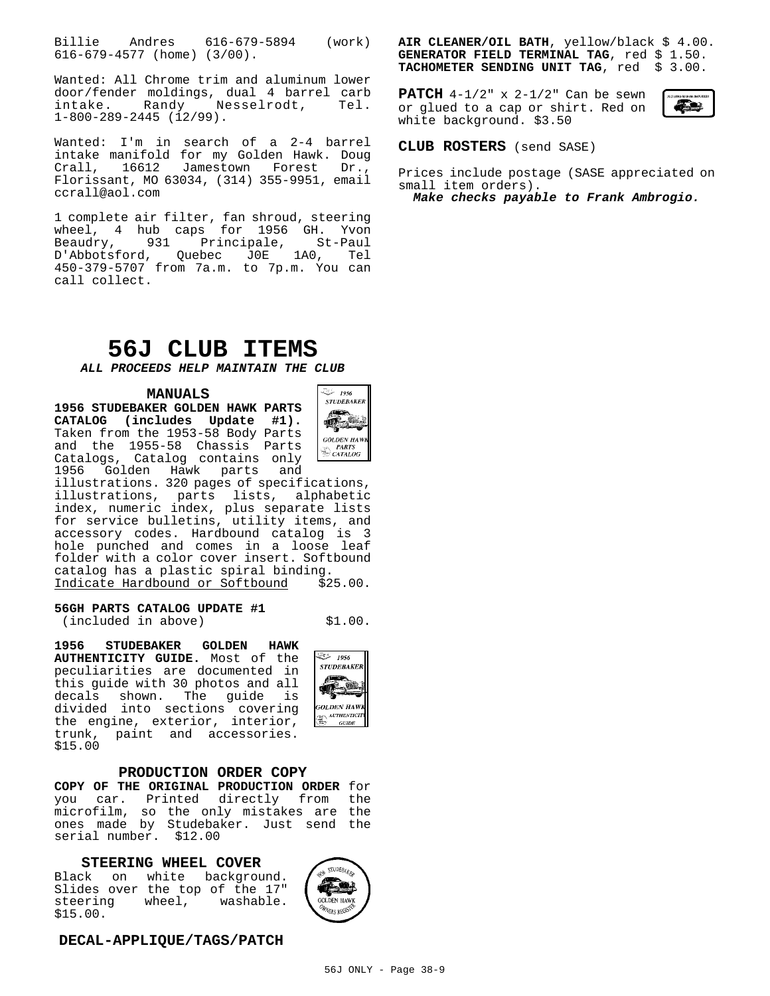Billie Andres 616-679-5894 (work) 616-679-4577 (home) (3/00).

Wanted: All Chrome trim and aluminum lower door/fender moldings, dual 4 barrel carb intake. Randy Nesselrodt, Tel. 1-800-289-2445 (12/99).

Wanted: I'm in search of a 2-4 barrel intake manifold for my Golden Hawk. Doug Crall, 16612 Jamestown Forest Florissant, MO 63034, (314) 355-9951, email ccrall@aol.com

1 complete air filter, fan shroud, steering wheel, 4 hub caps for 1956 GH. Yvon Beaudry, 931 Principale, St-Paul D'Abbotsford, Quebec J0E 1A0, Tel 450-379-5707 from 7a.m. to 7p.m. You can call collect.

## **56J CLUB ITEMS**

**ALL PROCEEDS HELP MAINTAIN THE CLUB**

#### **MANUALS**

**1956 STUDEBAKER GOLDEN HAWK PARTS CATALOG (includes Update #1).** Taken from the 1953-58 Body Parts and the 1955-58 Chassis Parts Catalogs, Catalog contains only 1956 Golden Hawk parts and



illustrations. 320 pages of specifications, illustrations, parts lists, alphabetic index, numeric index, plus separate lists for service bulletins, utility items, and accessory codes. Hardbound catalog is 3 hole punched and comes in a loose leaf folder with a color cover insert. Softbound catalog has a plastic spiral binding. Indicate Hardbound or Softbound \$25.00.

#### **56GH PARTS CATALOG UPDATE #1**

 $(included in above)$   $$1.00.$ 

**1956 STUDEBAKER GOLDEN HAWK AUTHENTICITY GUIDE.** Most of the peculiarities are documented in this guide with 30 photos and all decals shown. The guide is divided into sections covering the engine, exterior, interior, trunk, paint and accessories. \$15.00

#### **PRODUCTION ORDER COPY**

**COPY OF THE ORIGINAL PRODUCTION ORDER** for you car. Printed directly from the microfilm, so the only mistakes are the ones made by Studebaker. Just send the serial number. \$12.00

#### **STEERING WHEEL COVER**

Black on white background. Slides over the top of the 17" steering wheel, washable. \$15.00.



#### **DECAL-APPLIQUE/TAGS/PATCH**

**AIR CLEANER/OIL BATH**, yellow/black \$ 4.00. GENERATOR FIELD TERMINAL TAG, red \$ 1.50. **TACHOMETER SENDING UNIT TAG**, red \$ 3.00.

**PATCH** 4-1/2" x 2-1/2" Can be sewn or glued to a cap or shirt. Red on white background. \$3.50



**CLUB ROSTERS** (send SASE)

Prices include postage (SASE appreciated on small item orders).

**Make checks payable to Frank Ambrogio.**



1956 مئي **STUDEBAKER**